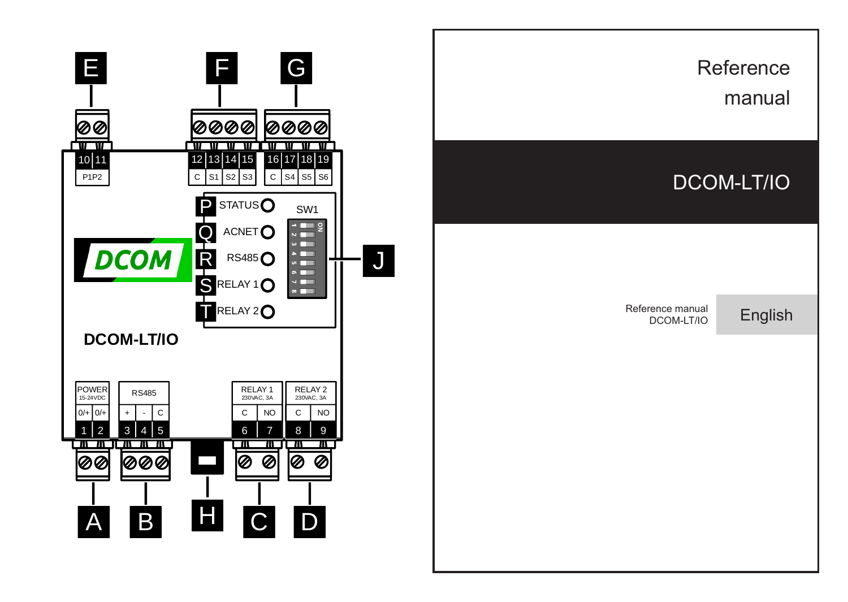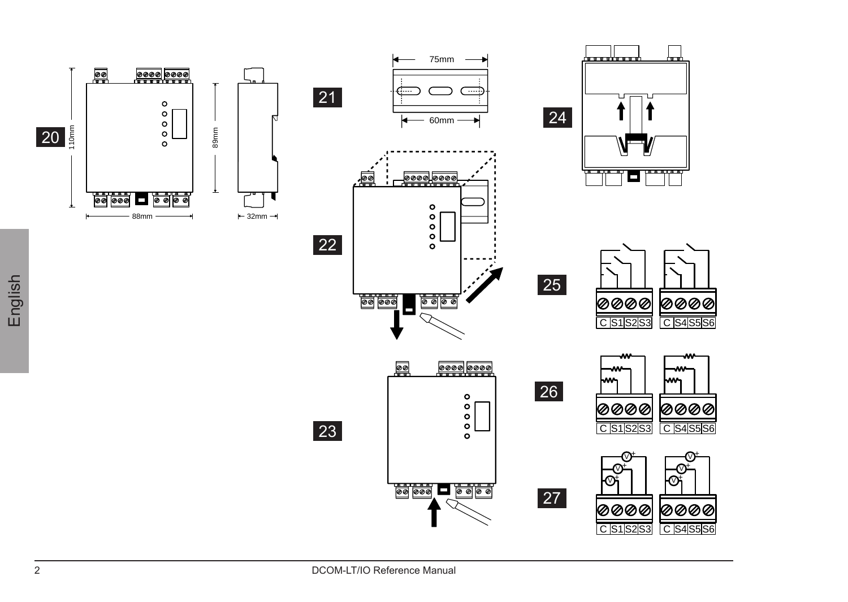

 $\gamma_t$  $\mathbf{\hat{v}}$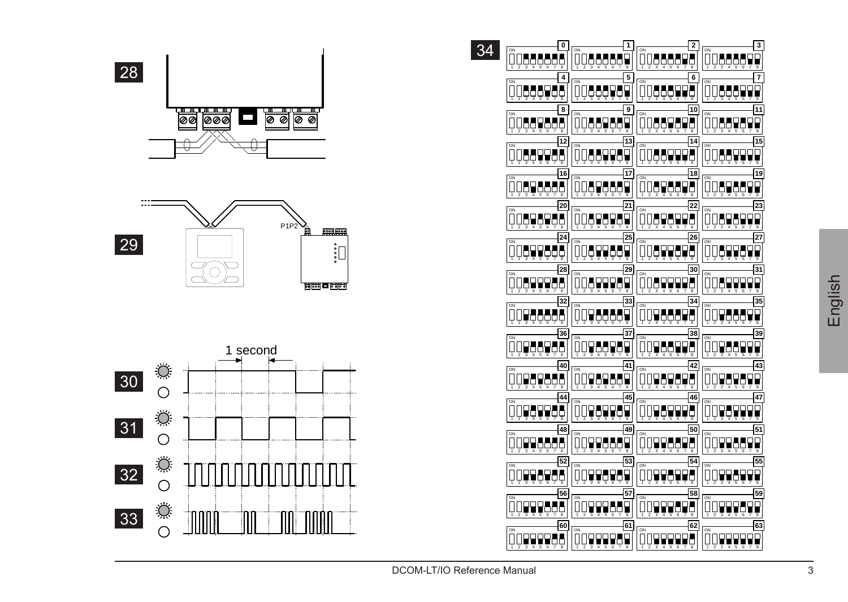







| 34 | o<br>CN                  | 1<br><b>ON</b>                                     | 2<br><b>ON</b>                  | 3<br>g                         |
|----|--------------------------|----------------------------------------------------|---------------------------------|--------------------------------|
|    | QQQQQQQQ                 | <u>QQQQQQQI</u><br>$\overline{a}$                  | QQQQQQ<br>TО<br>×               | QQQQQQI                        |
|    | 4<br>CN                  | 5<br>CN                                            | 6<br>CN                         | 7<br><b>CN</b>                 |
|    | 00888988                 | 0066676                                            | 00888998                        | OQQQQQV                        |
|    | 8                        | 9<br>$\overline{on}$                               | 10<br>$\overline{\text{cm}}$    | 11<br>o.                       |
|    | 0000000                  | 0066968                                            | 006696<br>Ł                     | 0066969                        |
|    | 12                       | 13<br>ON                                           | 14<br>ON                        | 15<br>ON                       |
|    | <u>QQQQQQ</u>            | <u>QQQQQQQ</u><br>F                                | Ų<br>ĢĢĢĢĢ<br>ā<br>Ŧ            | <u>QÖÖÖĞA</u>                  |
|    | 16<br>CN                 | 17<br>CN                                           | 18<br>ON                        | 19<br><b>CN</b>                |
|    | QQQQQQ                   | QQQQQ                                              | <u>QQQQQQ</u><br>m              | QQ <b>QQQQ</b>                 |
|    | $\overline{20}$          | 21<br>ON                                           | 22<br>ON                        | 23<br><b>ON</b>                |
|    | 00898988                 | 00898989                                           | 00898998                        | 0089847<br>9                   |
|    | 24<br><b>CN</b>          | 25<br>$\overline{on}$                              | 26<br>$\overline{on}$           | 27<br>$\overline{\phantom{a}}$ |
|    | <u>QQQQQQQQ</u>          | <u>QQQQQQQ</u><br>q<br>π.                          | ņ<br><u>Q49949</u><br>ā<br>т    | <u>QQQQQQ</u>                  |
|    | 28<br>CN                 | 29<br><b>ON</b>                                    | 30<br><b>ON</b>                 | 31<br><b>ON</b>                |
|    | 0089995<br>п             | 008778                                             | 008999<br>г                     | QQQQQQ                         |
|    | 32                       | 33<br>CN                                           | 34<br>CN                        | 35<br>ON.                      |
|    | O<br>196666<br>ृत<br>÷   | $\Box$<br>1766a<br>٦<br>÷<br>t<br>G                | 966<br>77<br>t<br>ढ<br>₹<br>Ŧ   | 0098661<br>×<br>ढ<br>τ         |
|    | 36<br>ON                 | 37                                                 | 38<br>$\overline{\rm cm}$       | 39<br>$\alpha$                 |
|    | QQQQQQQ                  | ĴΙ<br>jQQQQQQ                                      | QQQQQ                           | QQQQQQ<br>9                    |
|    | 40                       | 41<br>$\overline{c}$                               | 42<br>$\overline{on}$           | 43<br>$\overline{\phantom{a}}$ |
|    | QQQQQQQ                  | <u>QQQ4Q44</u>                                     | <u>QQQQQQQ</u>                  | QQQQQQ                         |
|    | 44<br>ON                 | 45<br>$\overline{ON}$                              | 46<br>$\overline{ON}$           | 47<br>$\overline{\text{cm}}$   |
|    | 00961<br>о<br>द इ ढ<br>π | 00959<br>۳<br>ड ढ<br>$\overline{\phantom{a}}$<br>ᢋ | ODI<br>Youv<br>ढ इ. ढ<br>Ξ<br>Ŧ | 009599<br>T<br>т<br>ढ<br>╦     |
|    | 48<br>ON                 | 49<br>ON                                           | 50<br>CN                        | 51<br>ON                       |
|    | 00998868                 | Oľ<br>1998889                                      | 1336636                         | 0099889<br>П                   |
|    | 52                       | 53<br>CN                                           | 54<br>CN                        | 55<br>CN                       |
|    | QQQQQQQ                  | QQQQQQ<br>ģ                                        | QQQQQQQ                         | QQQQQQ<br>ģ                    |
|    | 56<br>ON                 | 57<br>ON                                           | 58<br>ON                        | 59<br>ON                       |
|    | ŎŎ <b>ŎŎŎ</b>            | ÕQ <b>QQQAA</b>                                    | 009998<br>о<br>Ŧ                | 0099981                        |
|    | 60<br>ON                 | 61<br>ON                                           | 62<br>ON                        | 63<br>$\overline{\text{cm}}$   |
|    | QQQQQQQ                  | <u>QÖÖÖĞƏƏ</u>                                     | 0099998                         | QQQQQQQ                        |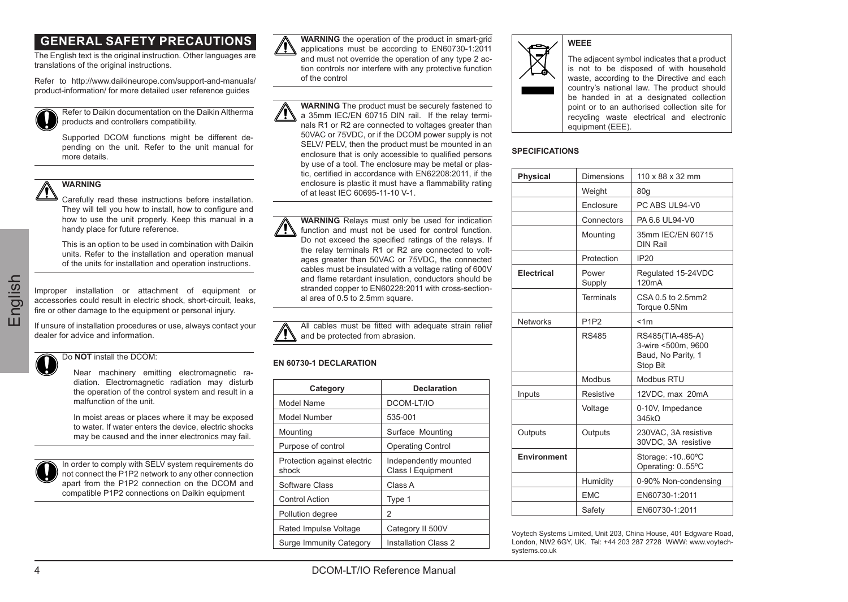# **GENERAL SAFETY PRECAUTIONS**

The English text is the original instruction. Other languages are translations of the original instructions.

Refer to http://www.daikineurope.com/support-and-manuals/ product-information/ for more detailed user reference guides

Refer to Daikin documentation on the Daikin Altherma products and controllers compatibility.

Supported DCOM functions might be different depending on the unit. Refer to the unit manual for more details.

# **WARNING**

Carefully read these instructions before installation. They will tell you how to install, how to configure and how to use the unit properly. Keep this manual in a

handy place for future reference.

This is an option to be used in combination with Daikin units. Refer to the installation and operation manual of the units for installation and operation instructions.

English

Improper installation or attachment of equipment or accessories could result in electric shock, short-circuit, leaks, fire or other damage to the equipment or personal injury.

If unsure of installation procedures or use, always contact your dealer for advice and information.

Do **NOT** install the DCOM:

Near machinery emitting electromagnetic radiation. Electromagnetic radiation may disturb the operation of the control system and result in a malfunction of the unit.

In moist areas or places where it may be exposed to water. If water enters the device, electric shocks may be caused and the inner electronics may fail.

In order to comply with SELV system requirements do not connect the P1P2 network to any other connection apart from the P1P2 connection on the DCOM and compatible P1P2 connections on Daikin equipment



**WARNING** the operation of the product in smart-grid applications must be according to EN60730-1:2011 and must not override the operation of any type 2 action controls nor interfere with any protective function of the control

**WARNING** The product must be securely fastened to a 35mm IEC/EN 60715 DIN rail. If the relay terminals R1 or R2 are connected to voltages greater than 50VAC or 75VDC, or if the DCOM power supply is not SELV/ PELV, then the product must be mounted in an enclosure that is only accessible to qualified persons by use of a tool. The enclosure may be metal or plastic, certified in accordance with EN62208:2011, if the enclosure is plastic it must have a flammability rating of at least IEC 60695-11-10 V-1.

**WARNING** Relays must only be used for indication function and must not be used for control function. Do not exceed the specified ratings of the relays. If the relay terminals R1 or R2 are connected to voltages greater than 50VAC or 75VDC, the connected cables must be insulated with a voltage rating of 600V and flame retardant insulation, conductors should be stranded copper to EN60228:2011 with cross-sectional area of 0.5 to 2.5mm square.



## **EN 60730-1 DECLARATION**

| Category                             | Declaration                                |
|--------------------------------------|--------------------------------------------|
| Model Name                           | DCOM-LT/IO                                 |
| Model Number                         | 535-001                                    |
| Mounting                             | Surface Mounting                           |
| Purpose of control                   | Operating Control                          |
| Protection against electric<br>shock | Independently mounted<br>Class   Equipment |
| Software Class                       | Class A                                    |
| Control Action                       | Type 1                                     |
| Pollution degree                     | $\mathfrak{p}$                             |
| Rated Impulse Voltage                | Category II 500V                           |
| Surge Immunity Category              | Installation Class 2                       |



The adjacent symbol indicates that a product is not to be disposed of with household waste, according to the Directive and each country's national law. The product should be handed in at a designated collection point or to an authorised collection site for recycling waste electrical and electronic equipment (EEE).

## **SPECIFICATIONS**

| Physical    | Dimensions                    | 110 x 88 x 32 mm                                                         |
|-------------|-------------------------------|--------------------------------------------------------------------------|
|             | Weight                        | 80q                                                                      |
|             | Enclosure                     | PC ABS UL94-V0                                                           |
|             | Connectors                    | PA 6.6 UL94-V0                                                           |
|             | Mounting                      | 35mm IFC/FN 60715<br>DIN Rail                                            |
|             | Protection                    | IP <sub>20</sub>                                                         |
| Electrical  | Power<br>Supply               | Regulated 15-24VDC<br>120mA                                              |
|             | Terminals                     | CSA 0.5 to 2.5mm2<br>Torque 0.5Nm                                        |
| Networks    | P <sub>1</sub> P <sub>2</sub> | < 1m                                                                     |
|             | <b>RS485</b>                  | RS485(TIA-485-A)<br>3-wire <500m. 9600<br>Baud, No Parity, 1<br>Stop Bit |
|             | Modbus                        | Modbus RTU                                                               |
| Inputs      | Resistive                     | 12VDC, max 20mA                                                          |
|             | Voltage                       | 0-10V. Impedance<br>345kO                                                |
| Outputs     | Outputs                       | 230VAC. 3A resistive<br>30VDC, 3A resistive                              |
| Environment |                               | Storage: - 1060°C<br>Operating: 055°C                                    |
|             | Humidity                      | 0-90% Non-condensing                                                     |
|             | <b>FMC</b>                    | EN60730-1:2011                                                           |
|             | Safety                        | FN60730-1:2011                                                           |

Voytech Systems Limited, Unit 203, China House, 401 Edgware Road, London, NW2 6GY, UK. Tel: +44 203 287 2728. WWW: www.voytechsystems.co.uk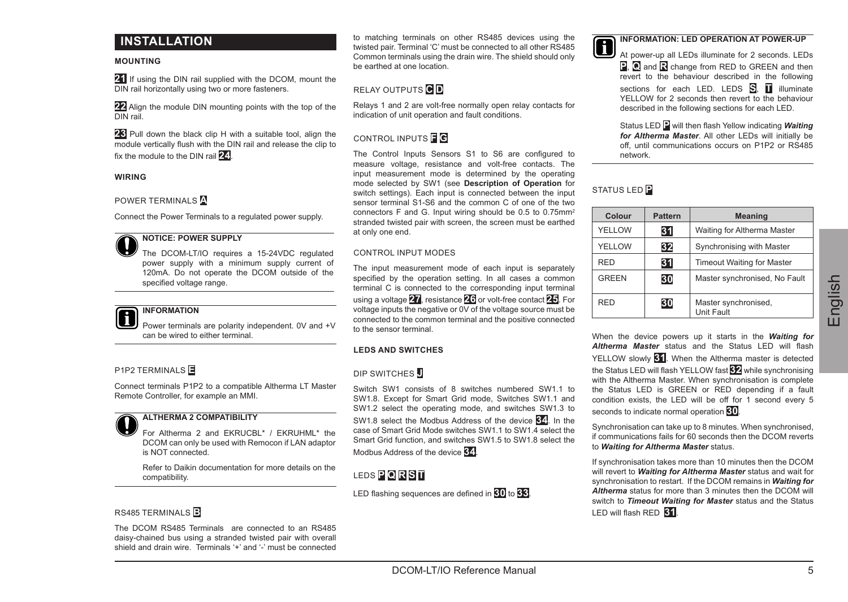# **INSTALLATION**

## **MOUNTING**

**21** If using the DIN rail supplied with the DCOM, mount the DIN rail horizontally using two or more fasteners.

**22** Align the module DIN mounting points with the top of the DIN rail.

**23** Pull down the black clip H with a suitable tool, align the module vertically flush with the DIN rail and release the clip to fix the module to the DIN rail **24**.

### **WIRING**

POWER TERMINALS **A**

Connect the Power Terminals to a regulated power supply.

# **NOTICE: POWER SUPPLY**

The DCOM-LT/IO requires a 15-24VDC regulated power supply with a minimum supply current of 120mA. Do not operate the DCOM outside of the specified voltage range

## **INFORMATION**

Power terminals are polarity independent. 0V and +V can be wired to either terminal.

## P1P2 TERMINALS **E**

Connect terminals P1P2 to a compatible Altherma LT Master Remote Controller, for example an MMI.



## **ALTHERMA 2 COMPATIBILITY**

For Altherma 2 and EKRUCBL\* / EKRUHML\* the DCOM can only be used with Remocon if LAN adaptor is NOT connected.

Refer to Daikin documentation for more details on the compatibility.

## RS485 TERMINALS **B**

The DCOM RS485 Terminals are connected to an RS485 daisy-chained bus using a stranded twisted pair with overall shield and drain wire. Terminals '+' and '-' must be connected to matching terminals on other RS485 devices using the twisted pair. Terminal 'C' must be connected to all other RS485 Common terminals using the drain wire. The shield should only be earthed at one location.

# RELAY OUTPUTS **C D**

Relays 1 and 2 are volt-free normally open relay contacts for indication of unit operation and fault conditions.

## CONTROL INPUTS **F G**

The Control Inputs Sensors S1 to S6 are configured to measure voltage, resistance and volt-free contacts. The input measurement mode is determined by the operating mode selected by SW1 (see **Description of Operation** for switch settings). Each input is connected between the input sensor terminal S1-S6 and the common C of one of the two connectors F and G. Input wiring should be 0.5 to 0.75mm2 stranded twisted pair with screen, the screen must be earthed at only one end.

## CONTROL INPUT MODES

The input measurement mode of each input is separately specified by the operation setting. In all cases a common terminal C is connected to the corresponding input terminal using a voltage **27**, resistance **26** or volt-free contact **25**. For voltage inputs the negative or 0V of the voltage source must be connected to the common terminal and the positive connected to the sensor terminal.

## **LEDS AND SWITCHES**

## DIP SWITCHES **J**

Switch SW1 consists of 8 switches numbered SW1.1 to SW1.8. Except for Smart Grid mode, Switches SW1.1 and SW1.2 select the operating mode, and switches SW1.3 to SW1.8 select the Modbus Address of the device **34**. In the case of Smart Grid Mode switches SW1.1 to SW1.4 select the Smart Grid function, and switches SW1.5 to SW1.8 select the Modbus Address of the device **34**.

# LEDS **P Q R S T**

LED flashing sequences are defined in **30** to **33**.

## **INFORMATION: LED OPERATION AT POWER-UP**

At nower-up all LEDs illuminate for 2 seconds. LEDs **P**, **Q** and **R** change from RED to GREEN and then revert to the behaviour described in the following sections for each LED. LEDS **S**, **T** illuminate YELLOW for 2 seconds then revert to the behaviour described in the following sections for each LED.

Status LED **P** will then flash Yellow indicating *Waiting for Altherma Master*. All other LEDs will initially be off, until communications occurs on P1P2 or RS485 network.

# STATUS LED **P**

| Colour       | Pattern | <b>Meaning</b>                            |
|--------------|---------|-------------------------------------------|
| YFLLOW       | 31      | Waiting for Altherma Master               |
| YFLLOW       | 32      | Synchronising with Master                 |
| <b>RFD</b>   | 31      | <b>Timeout Waiting for Master</b>         |
| <b>GRFFN</b> | 30      | Master synchronised. No Fault             |
| <b>RFD</b>   | 30      | Master synchronised.<br><b>Unit Fault</b> |

When the device powers up it starts in the *Waiting for Altherma Master* status and the Status LED will flash YELLOW slowly **31**. When the Altherma master is detected the Status LED will flash YELLOW fast **32** while synchronising with the Altherma Master. When synchronisation is complete the Status LED is GREEN or RED depending if a fault condition exists, the LED will be off for 1 second every 5 seconds to indicate normal operation **30**.

Synchronisation can take up to 8 minutes. When synchronised, if communications fails for 60 seconds then the DCOM reverts to *Waiting for Altherma Master* status.

If synchronisation takes more than 10 minutes then the DCOM will revert to *Waiting for Altherma Master* status and wait for synchronisation to restart. If the DCOM remains in *Waiting for Altherma* status for more than 3 minutes then the DCOM will switch to *Timeout Waiting for Master* status and the Status LED will flash RED **31**.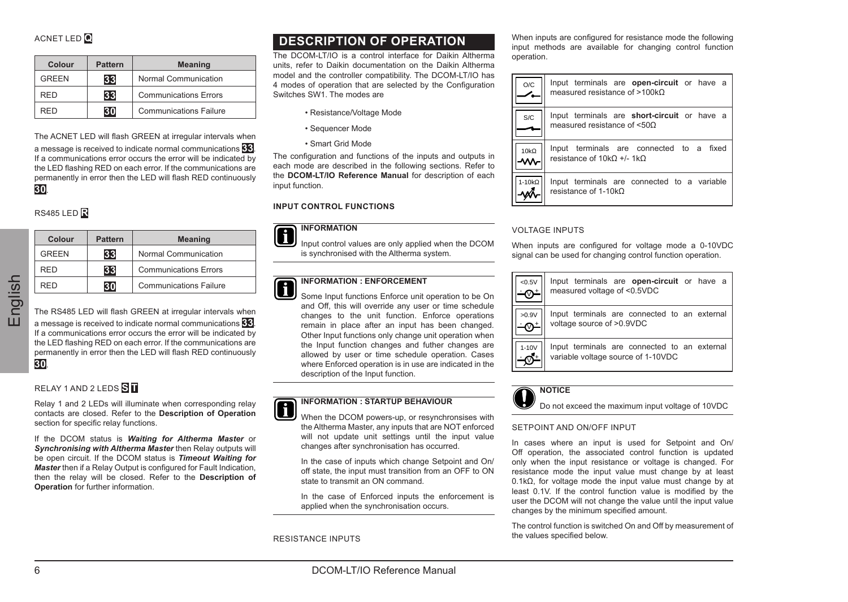| Colour       | Pattern | <b>Meaning</b>         |
|--------------|---------|------------------------|
| <b>GREEN</b> | 33      | Normal Communication   |
| RFD          | 33      | Communications Errors  |
| ED           | зn      | Communications Failure |

The ACNET LED will flash GREEN at irregular intervals when a message is received to indicate normal communications **33**. If a communications error occurs the error will be indicated by the LED flashing RED on each error. If the communications are permanently in error then the LED will flash RED continuously **30**.

# RS485 LED **R**

| Colour                                 | Pattern | Meaning                                                                                                                                                                             |
|----------------------------------------|---------|-------------------------------------------------------------------------------------------------------------------------------------------------------------------------------------|
| <b>GREEN</b><br>33<br><b>RFD</b><br>33 |         | Normal Communication                                                                                                                                                                |
|                                        |         | Communications Errors                                                                                                                                                               |
| <b>RED</b>                             | 30      | Communications Failure                                                                                                                                                              |
|                                        |         | a message is received to indicate normal communications<br>If a communications error occurs the error will be indicate<br>the LED flashing RED on each error. If the communications |
|                                        |         | permanently in error then the LED will flash RED continuo                                                                                                                           |
| 30.<br><b>RS485 LED</b><br>Colour      | Pattern | Meaning                                                                                                                                                                             |
| <b>GREEN</b>                           | 33      | Normal Communication                                                                                                                                                                |
| <b>RFD</b>                             | 33      | Communications Errors                                                                                                                                                               |

The RS485 LED will flash GREEN at irregular intervals when a message is received to indicate normal communications **33**. If a communications error occurs the error will be indicated by the LED flashing RED on each error. If the communications are permanently in error then the LED will flash RED continuously **30**.

# RELAY 1 AND 2 LEDS **S T**

Relay 1 and 2 LEDs will illuminate when corresponding relay contacts are closed. Refer to the **Description of Operation** section for specific relay functions.

If the DCOM status is *Waiting for Altherma Master* or *Synchronising with Altherma Master* then Relay outputs will be open circuit. If the DCOM status is *Timeout Waiting for Master* then if a Relay Output is configured for Fault Indication, then the relay will be closed. Refer to the **Description of Operation** for further information.

# **DESCRIPTION OF OPERATION**

The DCOM-LT/IO is a control interface for Daikin Altherma units, refer to Daikin documentation on the Daikin Altherma model and the controller compatibility. The DCOM-LT/IO has 4 modes of operation that are selected by the Configuration Switches SW1. The modes are

- Resistance/Voltage Mode
- Sequencer Mode
- Smart Grid Mode

The configuration and functions of the inputs and outputs in each mode are described in the following sections. Refer to the **DCOM-LT/IO Reference Manual** for description of each input function.

## **INPUT CONTROL FUNCTIONS**

## **INFORMATION**

Input control values are only applied when the DCOM is synchronised with the Altherma system.

### **INFORMATION : ENFORCEMENT** n

Some Input functions Enforce unit operation to be On and Off, this will override any user or time schedule. changes to the unit function. Enforce operations remain in place after an input has been changed. Other Input functions only change unit operation when the Input function changes and futher changes are allowed by user or time schedule operation. Cases where Enforced operation is in use are indicated in the description of the Input function.



When the DCOM powers-up, or resynchronsises with the Altherma Master, any inputs that are NOT enforced will not update unit settings until the input value changes after synchronisation has occurred.

In the case of inputs which change Setpoint and On/ off state, the input must transition from an OFF to ON state to transmit an ON command.

In the case of Enforced inputs the enforcement is applied when the synchronisation occurs.

RESISTANCE INPUTS

When inputs are configured for resistance mode the following input methods are available for changing control function operation.

| O/C                 | Input terminals are open-circuit or have a<br>measured resistance of $>100k\Omega$     |
|---------------------|----------------------------------------------------------------------------------------|
| <b>S/C</b>          | Input terminals are short-circuit or have a<br>measured resistance of <500             |
| $10k\Omega$<br>l-wr | Input terminals are connected to a fixed<br>resistance of $10k\Omega +1$ - 1k $\Omega$ |
| 1-10kO              | Input terminals are connected to a variable<br>resistance of 1-10kO                    |

## VOLTAGE INPUTS

When inputs are configured for voltage mode a 0-10VDC signal can be used for changing control function operation.





Do not exceed the maximum input voltage of 10VDC

## SETPOINT AND ON/OFF INPUT

In cases where an input is used for Setpoint and On/ Off operation, the associated control function is updated only when the input resistance or voltage is changed. For resistance mode the input value must change by at least 0.1kΩ, for voltage mode the input value must change by at least 0.1V. If the control function value is modified by the user the DCOM will not change the value until the input value changes by the minimum specified amount.

The control function is switched On and Off by measurement of the values specified below.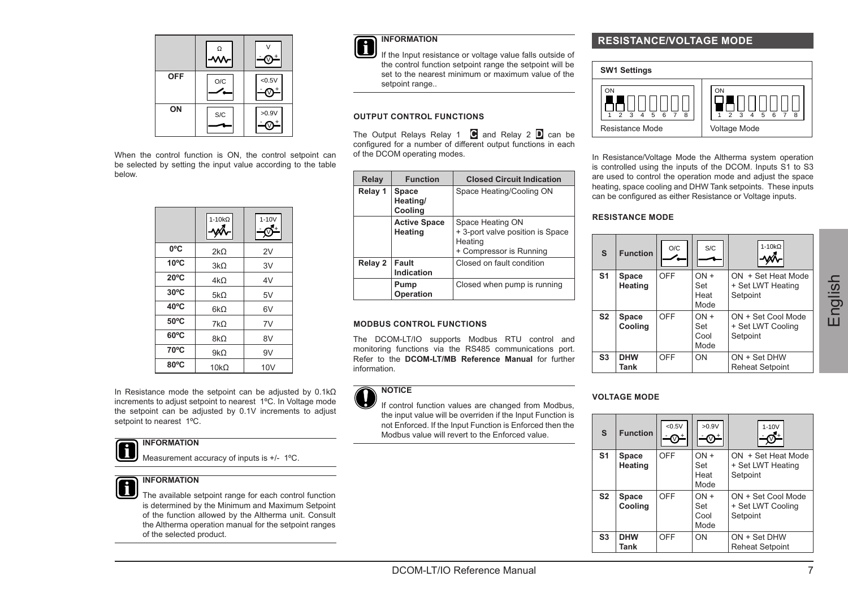|     | $\frac{1}{2}$ |       |
|-----|---------------|-------|
| OFF | O/C           | 40.5V |
| ON  | S/C           | >0.9V |

When the control function is ON, the control setpoint can be selected by setting the input value according to the table below.

|                | $1 - 10k\Omega$ | $1 - 10V$ |
|----------------|-----------------|-----------|
| 0°C            | 2kO             | 2V        |
| $10^{\circ}$ C | 3kO             | 3V        |
| $20^{\circ}$ C | $4k\Omega$      | 4V        |
| $30^{\circ}$ C | $5k\Omega$      | 5V        |
| 40°C           | 6kO             | 6V        |
| 50°C           | $7k\Omega$      | 7V        |
| $60^{\circ}$ C | 8kO             | 8V        |
| 70°C           | $9k\Omega$      | 9V        |
| 80°C           | 10kO            | 10V       |

In Resistance mode the setpoint can be adjusted by 0.1kΩ increments to adjust setpoint to nearest 1ºC. In Voltage mode the setpoint can be adjusted by 0.1V increments to adjust setpoint to nearest 1ºC.

# **INFORMATION**

Measurement accuracy of inputs is +/- 1ºC.

## **INFORMATION**

The available setpoint range for each control function is determined by the Minimum and Maximum Setpoint of the function allowed by the Altherma unit. Consult the Altherma operation manual for the setpoint ranges of the selected product.

# **INFORMATION**

If the Input resistance or voltage value falls outside of the control function setpoint range the setpoint will be set to the nearest minimum or maximum value of the setpoint range

## **OUTPUT CONTROL FUNCTIONS**

The Output Relays Relay 1 **C** and Relay 2 **D** can be configured for a number of different output functions in each of the DCOM operating modes.

| Relay   | <b>Function</b>                | <b>Closed Circuit Indication</b>                                                           |
|---------|--------------------------------|--------------------------------------------------------------------------------------------|
| Relay 1 | Space<br>Heating/<br>Cooling   | Space Heating/Cooling ON                                                                   |
|         | <b>Active Space</b><br>Heating | Space Heating ON<br>+ 3-port valve position is Space<br>Heating<br>+ Compressor is Running |
| Relay 2 | Fault<br>Indication            | Closed on fault condition                                                                  |
|         | Pump<br>Operation              | Closed when pump is running                                                                |

## **MODBUS CONTROL FUNCTIONS**

The DCOM-LT/IO supports Modbus RTU control and monitoring functions via the RS485 communications port. Refer to the **DCOM-LT/MB Reference Manual** for further information.

# **NOTICE**

If control function values are changed from Modbus, the input value will be overriden if the Input Function is not Enforced. If the Input Function is Enforced then the Modbus value will revert to the Enforced value.

# **RESISTANCE/VOLTAGE MODE**



In Resistance/Voltage Mode the Altherma system operation is controlled using the inputs of the DCOM. Inputs S1 to S3 are used to control the operation mode and adjust the space heating, space cooling and DHW Tank setpoints. These inputs. can be configured as either Resistance or Voltage inputs.

## **RESISTANCE MODE**

| s              | <b>Function</b>    | O/C | S/C                           | $1 - 10k$                                           |
|----------------|--------------------|-----|-------------------------------|-----------------------------------------------------|
| S <sub>1</sub> | Space<br>Heating   | OFF | $ON +$<br>Set<br>Heat<br>Mode | ON + Set Heat Mode<br>+ Set LWT Heating<br>Setpoint |
| S <sub>2</sub> | Space<br>Coolina   | OFF | $ON +$<br>Set<br>Cool<br>Mode | ON + Set Cool Mode<br>+ Set LWT Cooling<br>Setpoint |
| S <sub>3</sub> | <b>DHW</b><br>Tank | OFF | ON                            | ON + Set DHW<br><b>Reheat Setpoint</b>              |

## **VOLTAGE MODE**

| s              | <b>Function</b> | < 0.5V | >0.9V  | $1 - 10V$              |
|----------------|-----------------|--------|--------|------------------------|
| S <sub>1</sub> | Space           | OFF    | $ON +$ | ON + Set Heat Mode     |
|                | Heating         |        | Set    | + Set LWT Heating      |
|                |                 |        | Heat   | Setpoint               |
|                |                 |        | Mode   |                        |
| S <sub>2</sub> | Space           | OFF    | $ON +$ | ON + Set Cool Mode     |
|                | Coolina         |        | Set    | + Set LWT Cooling      |
|                |                 |        | Cool   | Setpoint               |
|                |                 |        | Mode   |                        |
| S <sub>3</sub> | <b>DHW</b>      | OFF    | ON     | ON + Set DHW           |
|                | Tank            |        |        | <b>Reheat Setpoint</b> |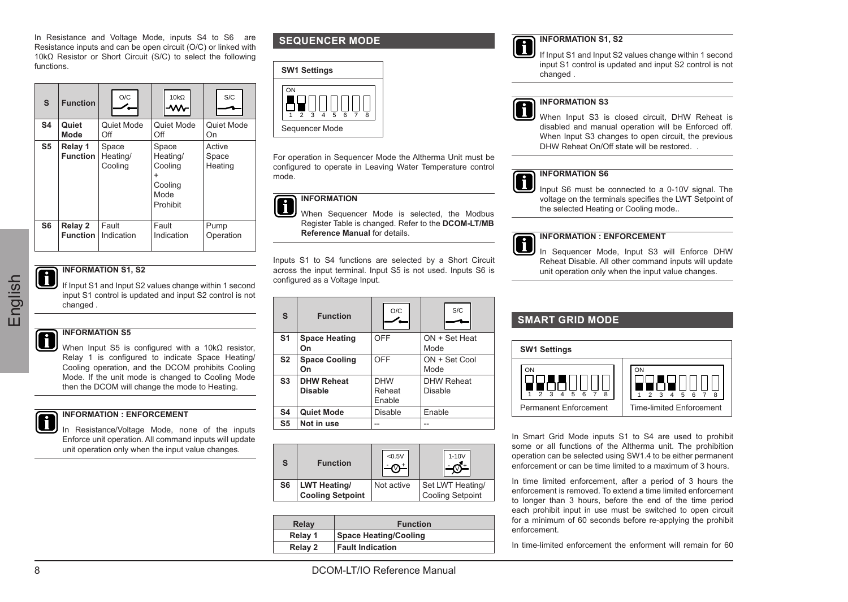Resistance inputs and can be open circuit (O/C) or linked with 10kΩ Resistor or Short Circuit (S/C) to select the following functions.

| $\mathbf{s}$   | <b>Function</b>            | O/C                          | 10kO                                                        | <b>S/C</b>                 |
|----------------|----------------------------|------------------------------|-------------------------------------------------------------|----------------------------|
| S <sub>4</sub> | Quiet                      | Quiet Mode                   | Quiet Mode                                                  | Quiet Mode                 |
|                | Mode                       | Off                          | Off                                                         | On                         |
| S <sub>5</sub> | Relay 1<br><b>Function</b> | Space<br>Heating/<br>Cooling | Space<br>Heating/<br>Cooling<br>Cooling<br>Mode<br>Prohibit | Active<br>Space<br>Heating |
| S6             | Relay 2                    | Fault                        | Fault                                                       | Pump                       |
|                | <b>Function</b>            | Indication                   | Indication                                                  | Operation                  |

# **INFORMATION S1, S2**

# **INFORMATION SE**

When Input S5 is configured with a 10kΩ resistor, Relay 1 is configured to indicate Space Heating/ Cooling operation, and the DCOM prohibits Cooling Mode. If the unit mode is changed to Cooling Mode then the DCOM will change the mode to Heating.

# **INFORMATION : ENFORCEMENT**

In Resistance/Voltage Mode, none of the inputs Enforce unit operation. All command inputs will update unit operation only when the input value changes.

# **SEQUENCER MODE**



For operation in Sequencer Mode the Altherma Unit must be configured to operate in Leaving Water Temperature control mode.

# **INFORMATION**

When Sequencer Mode is selected, the Modbus Register Table is changed. Refer to the **DCOM-LT/MB Reference Manual** for details.

Inputs S1 to S4 functions are selected by a Short Circuit across the input terminal. Input S5 is not used. Inputs S6 is configured as a Voltage Input.

| s              | <b>Function</b>                     | O/C                            | <b>S/C</b>                   |
|----------------|-------------------------------------|--------------------------------|------------------------------|
| S <sub>1</sub> | Space Heating<br>On                 | OFF                            | ON + Set Heat<br>Mode        |
| S <sub>2</sub> | <b>Space Cooling</b><br>On          | OFF                            | ON + Set Cool<br>Mode        |
| S <sub>3</sub> | <b>DHW Reheat</b><br><b>Disable</b> | <b>DHW</b><br>Reheat<br>Fnable | <b>DHW Reheat</b><br>Disable |
| <b>S4</b>      | Quiet Mode                          | Disable                        | Enable                       |
| S5             | Not in use                          | $\overline{\phantom{a}}$       | $\overline{a}$               |

| S              | <b>Function</b>                                | < 0.5V     | $1-10V$                                     |
|----------------|------------------------------------------------|------------|---------------------------------------------|
| S <sub>6</sub> | <b>LWT Heating/</b><br><b>Cooling Setpoint</b> | Not active | Set LWT Heating/<br><b>Cooling Setpoint</b> |

| Relay   | <b>Function</b>              |
|---------|------------------------------|
| Relay 1 | <b>Space Heating/Cooling</b> |
| Relay 2 | <b>Fault Indication</b>      |

# **INFORMATION S1, S2**

If Input S1 and Input S2 values change within 1 second input S1 control is updated and input S2 control is not changed .



# **INFORMATION S3**

When Input S3 is closed circuit, DHW Reheat is disabled and manual operation will be Enforced off. When Input S3 changes to open circuit, the previous DHW Reheat On/Off state will be restored

# **INFORMATION S6**

Input S6 must be connected to a 0-10V signal. The voltage on the terminals specifies the LWT Setpoint of the selected Heating or Cooling mode..

## **INFORMATION : ENFORCEMENT**

In Sequencer Mode, Input S3 will Enforce DHW Reheat Disable. All other command inputs will update unit operation only when the input value changes.

# **SMART GRID MODE**



In Smart Grid Mode inputs S1 to S4 are used to prohibit some or all functions of the Altherma unit. The prohibition operation can be selected using SW1.4 to be either permanent enforcement or can be time limited to a maximum of 3 hours.

In time limited enforcement, after a period of 3 hours the enforcement is removed. To extend a time limited enforcement to longer than 3 hours, before the end of the time period each prohibit input in use must be switched to open circuit for a minimum of 60 seconds before re-applying the prohibit enforcement.

In time-limited enforcement the enforment will remain for 60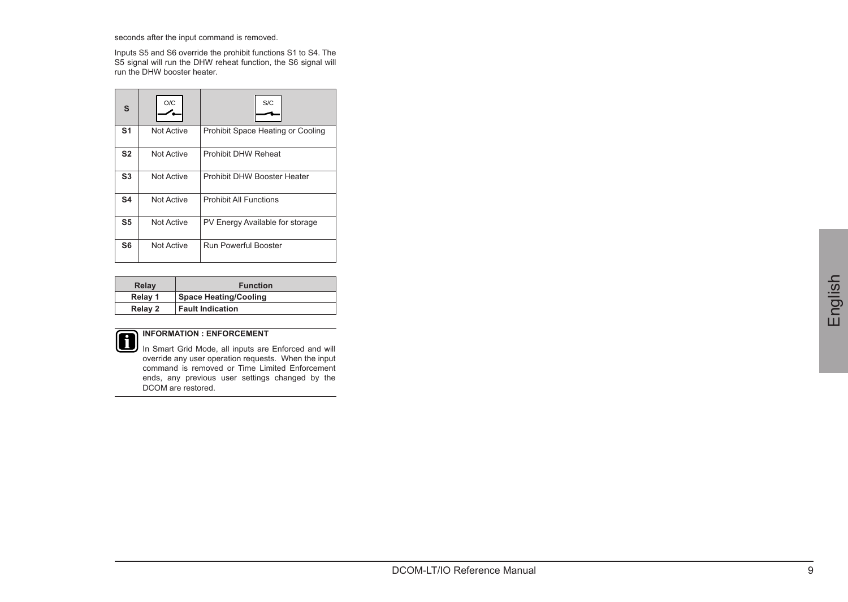seconds after the input command is removed.

Inputs S5 and S6 override the prohibit functions S1 to S4. The S5 signal will run the DHW reheat function, the S6 signal will run the DHW booster heater.

| s              | O/C        | S/C                               |
|----------------|------------|-----------------------------------|
| S <sub>1</sub> | Not Active | Prohibit Space Heating or Cooling |
| S <sub>2</sub> | Not Active | Prohibit DHW Reheat               |
| S <sub>3</sub> | Not Active | Prohibit DHW Booster Heater       |
| S <sub>4</sub> | Not Active | Prohibit All Functions            |
| S <sub>5</sub> | Not Active | PV Energy Available for storage   |
| S6             | Not Active | <b>Run Powerful Booster</b>       |

| Relay   | <b>Function</b>         |
|---------|-------------------------|
| Relay 1 | Space Heating/Cooling   |
| Relay 2 | <b>Fault Indication</b> |



**INFORMATION : ENFORCEMENT** In Smart Grid Mode, all inputs are Enforced and will override any user operation requests. When the input command is removed or Time Limited Enforcement ends, any previous user settings changed by the DCOM are restored.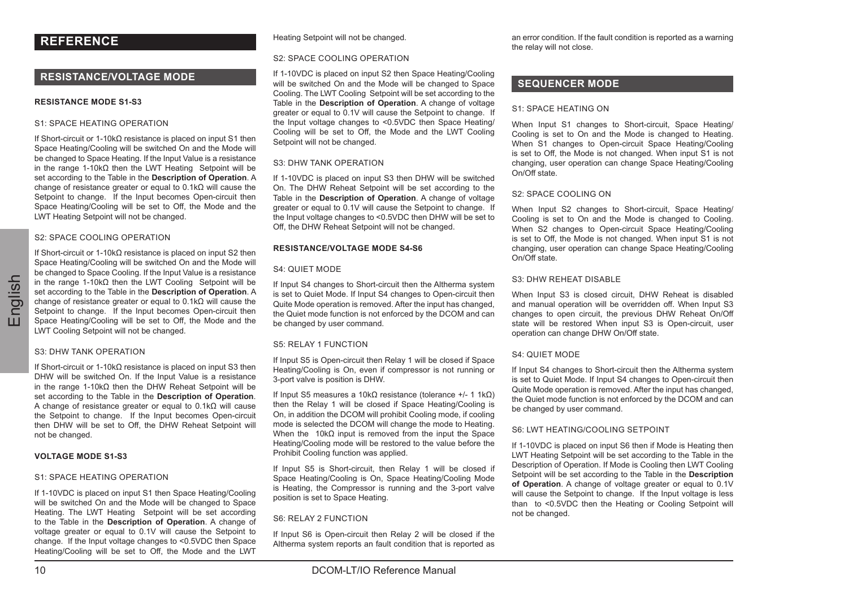# **REFERENCE**

# **RESISTANCE/VOLTAGE MODE**

## **RESISTANCE MODE S1-S3**

## S1: SPACE HEATING OPERATION

If Short-circuit or 1-10kΩ resistance is placed on input S1 then Space Heating/Cooling will be switched On and the Mode will be changed to Space Heating. If the Input Value is a resistance in the range 1-10kΩ then the LWT Heating Setpoint will be set according to the Table in the **Description of Operation**. A change of resistance greater or equal to 0.1kΩ will cause the Setpoint to change. If the Input becomes Open-circuit then Space Heating/Cooling will be set to Off, the Mode and the LWT Heating Setpoint will not be changed.

#### S2: SPACE COOLING OPERATION

If Short-circuit or 1-10kΩ resistance is placed on input S2 then Space Heating/Cooling will be switched On and the Mode will be changed to Space Cooling. If the Input Value is a resistance in the range 1-10kΩ then the LWT Cooling Setpoint will be set according to the Table in the **Description of Operation**. A change of resistance greater or equal to 0.1kΩ will cause the Setpoint to change. If the Input becomes Open-circuit then Space Heating/Cooling will be set to Off, the Mode and the LWT Cooling Setpoint will not be changed.

## S3: DHW TANK OPERATION

If Short-circuit or 1-10kΩ resistance is placed on input S3 then DHW will be switched On. If the Input Value is a resistance in the range 1-10kΩ then the DHW Reheat Setpoint will be set according to the Table in the **Description of Operation**. A change of resistance greater or equal to 0.1kΩ will cause the Setpoint to change. If the Input becomes Open-circuit then DHW will be set to Off, the DHW Reheat Setpoint will not be changed.

## **VOLTAGE MODE S1-S3**

## S1: SPACE HEATING OPERATION

If 1-10VDC is placed on input S1 then Space Heating/Cooling will be switched On and the Mode will be changed to Space Heating. The LWT Heating Setpoint will be set according to the Table in the **Description of Operation**. A change of voltage greater or equal to 0.1V will cause the Setpoint to change. If the Input voltage changes to <0.5VDC then Space Heating/Cooling will be set to Off, the Mode and the LWT

Heating Setpoint will not be changed.

#### S2: SPACE COOLING OPERATION

If 1-10VDC is placed on input S2 then Space Heating/Cooling will be switched On and the Mode will be changed to Space Cooling. The LWT Cooling Setpoint will be set according to the Table in the **Description of Operation**. A change of voltage greater or equal to 0.1V will cause the Setpoint to change. If the Input voltage changes to <0.5VDC then Space Heating/ Cooling will be set to Off, the Mode and the LWT Cooling Setpoint will not be changed.

#### S3: DHW TANK OPERATION

If 1-10VDC is placed on input S3 then DHW will be switched On. The DHW Reheat Setpoint will be set according to the Table in the **Description of Operation**. A change of voltage greater or equal to 0.1V will cause the Setpoint to change. If the Input voltage changes to <0.5VDC then DHW will be set to Off, the DHW Reheat Setpoint will not be changed.

#### **RESISTANCE/VOLTAGE MODE S4-S6**

### S4: QUIET MODE

If Input S4 changes to Short-circuit then the Altherma system is set to Quiet Mode. If Input S4 changes to Open-circuit then Quite Mode operation is removed. After the input has changed, the Quiet mode function is not enforced by the DCOM and can be changed by user command.

## S5: RELAY 1 FUNCTION

If Input S5 is Open-circuit then Relay 1 will be closed if Space Heating/Cooling is On, even if compressor is not running or 3-port valve is position is DHW.

If Input S5 measures a 10kΩ resistance (tolerance +/- 1 1kΩ) then the Relay 1 will be closed if Space Heating/Cooling is On, in addition the DCOM will prohibit Cooling mode, if cooling mode is selected the DCOM will change the mode to Heating. When the 10kQ input is removed from the input the Space Heating/Cooling mode will be restored to the value before the Prohibit Cooling function was applied.

If Input S5 is Short-circuit, then Relay 1 will be closed if Space Heating/Cooling is On, Space Heating/Cooling Mode is Heating, the Compressor is running and the 3-port valve position is set to Space Heating.

## S6: RELAY 2 FUNCTION

If Input S6 is Open-circuit then Relay 2 will be closed if the Altherma system reports an fault condition that is reported as

an error condition. If the fault condition is reported as a warning the relay will not close.

## **SEQUENCER MODE**

### S1: SPACE HEATING ON

When Input S1 changes to Short-circuit, Space Heating/ Cooling is set to On and the Mode is changed to Heating. When S1 changes to Open-circuit Space Heating/Cooling is set to Off, the Mode is not changed. When input S1 is not changing, user operation can change Space Heating/Cooling On/Off state.

## S2: SPACE COOLING ON

When Input S2 changes to Short-circuit, Space Heating/ Cooling is set to On and the Mode is changed to Cooling. When S2 changes to Open-circuit Space Heating/Cooling is set to Off, the Mode is not changed. When input S1 is not changing, user operation can change Space Heating/Cooling On/Off state.

## S3: DHW REHEAT DISABLE

When Input S3 is closed circuit, DHW Reheat is disabled and manual operation will be overridden off. When Input S3 changes to open circuit, the previous DHW Reheat On/Off state will be restored When input S3 is Open-circuit, user operation can change DHW On/Off state.

## S4: QUIET MODE

If Input S4 changes to Short-circuit then the Altherma system is set to Quiet Mode. If Input S4 changes to Open-circuit then Quite Mode operation is removed. After the input has changed, the Quiet mode function is not enforced by the DCOM and can be changed by user command.

## S6: LWT HEATING/COOLING SETPOINT

If 1-10VDC is placed on input S6 then if Mode is Heating then LWT Heating Setpoint will be set according to the Table in the Description of Operation. If Mode is Cooling then LWT Cooling Setpoint will be set according to the Table in the **Description of Operation**. A change of voltage greater or equal to 0.1V will cause the Setpoint to change. If the Input voltage is less than to <0.5VDC then the Heating or Cooling Setpoint will not be changed.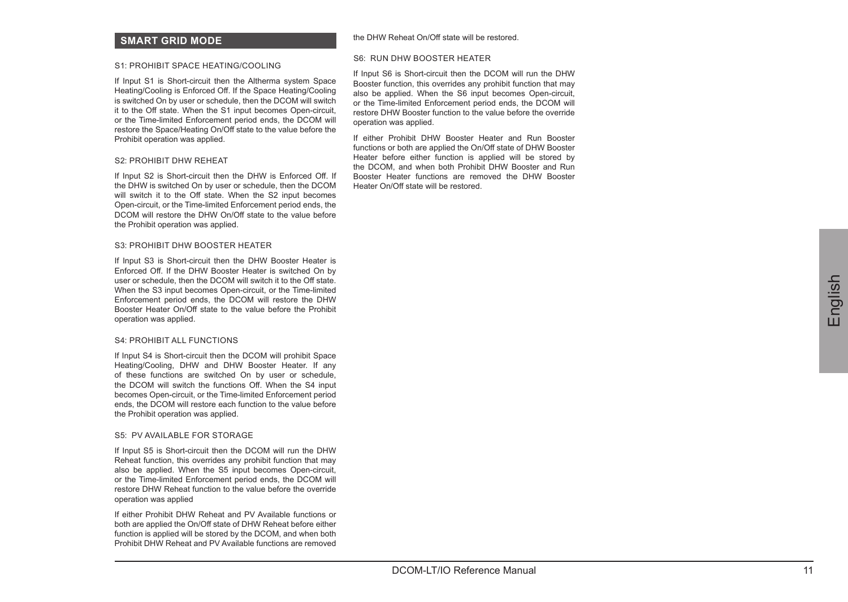## **SMART GRID MODE**

#### S1: PROHIBIT SPACE HEATING/COOLING

If Input S1 is Short-circuit then the Altherma system Space Heating/Cooling is Enforced Off. If the Space Heating/Cooling is switched On by user or schedule, then the DCOM will switch it to the Off state. When the S1 input becomes Open-circuit, or the Time-limited Enforcement period ends, the DCOM will restore the Space/Heating On/Off state to the value before the Prohibit operation was applied.

#### S2: PROHIBIT DHW REHEAT

If Input S2 is Short-circuit then the DHW is Enforced Off. If the DHW is switched On by user or schedule, then the DCOM will switch it to the Off state. When the S2 input becomes Open-circuit, or the Time-limited Enforcement period ends, the DCOM will restore the DHW On/Off state to the value before the Prohibit operation was applied.

#### S3: PROHIBIT DHW BOOSTER HEATER

If Input S3 is Short-circuit then the DHW Booster Heater is Enforced Off. If the DHW Booster Heater is switched On by user or schedule, then the DCOM will switch it to the Off state. When the S3 input becomes Open-circuit, or the Time-limited Enforcement period ends, the DCOM will restore the DHW Booster Heater On/Off state to the value before the Prohibit operation was applied.

## S4: PROHIBIT ALL FUNCTIONS

If Input S4 is Short-circuit then the DCOM will prohibit Space Heating/Cooling, DHW and DHW Booster Heater. If any of these functions are switched On by user or schedule, the DCOM will switch the functions Off. When the S4 input becomes Open-circuit, or the Time-limited Enforcement period ends, the DCOM will restore each function to the value before the Prohibit operation was applied.

### S5: **PV AVAILABLE EOP STORAGE**

If Input S5 is Short-circuit then the DCOM will run the DHW Reheat function, this overrides any prohibit function that may also be applied. When the S5 input becomes Open-circuit or the Time-limited Enforcement period ends, the DCOM will restore DHW Reheat function to the value before the override operation was applied

If either Prohibit DHW Reheat and PV Available functions or both are applied the On/Off state of DHW Reheat before either function is applied will be stored by the DCOM, and when both Prohibit DHW Reheat and PV Available functions are removed

## the DHW Reheat On/Off state will be restored.

## S6: RUN DHW BOOSTER HEATER

If Input S6 is Short-circuit then the DCOM will run the DHW Booster function, this overrides any prohibit function that may also be applied. When the S6 input becomes Open-circuit, or the Time-limited Enforcement period ends, the DCOM will restore DHW Booster function to the value before the override operation was applied.

If either Prohibit DHW Booster Heater and Run Booster functions or both are applied the On/Off state of DHW Booster Heater before either function is applied will be stored by the DCOM, and when both Prohibit DHW Booster and Run Booster Heater functions are removed the DHW Booster Heater On/Off state will be restored.